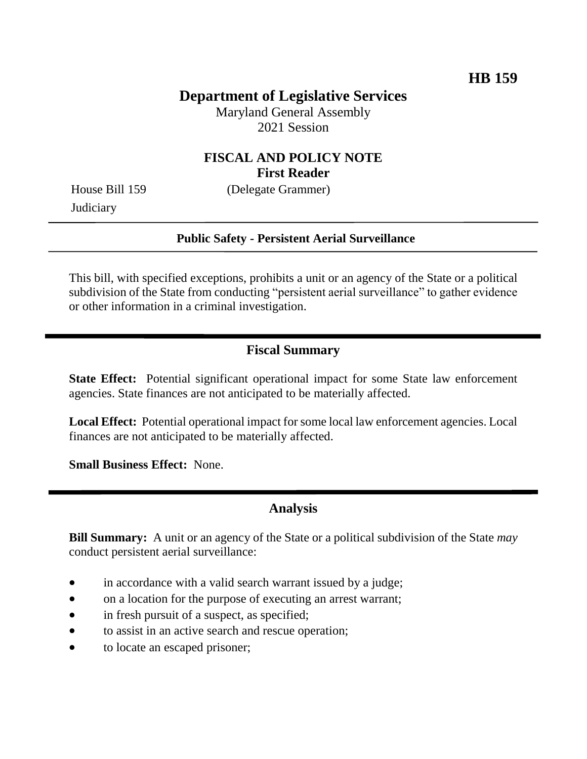# **Department of Legislative Services**

Maryland General Assembly 2021 Session

#### **FISCAL AND POLICY NOTE First Reader**

**Judiciary** 

House Bill 159 (Delegate Grammer)

#### **Public Safety - Persistent Aerial Surveillance**

This bill, with specified exceptions, prohibits a unit or an agency of the State or a political subdivision of the State from conducting "persistent aerial surveillance" to gather evidence or other information in a criminal investigation.

## **Fiscal Summary**

**State Effect:** Potential significant operational impact for some State law enforcement agencies. State finances are not anticipated to be materially affected.

**Local Effect:** Potential operational impact for some local law enforcement agencies. Local finances are not anticipated to be materially affected.

**Small Business Effect:** None.

#### **Analysis**

**Bill Summary:** A unit or an agency of the State or a political subdivision of the State *may* conduct persistent aerial surveillance:

- in accordance with a valid search warrant issued by a judge;
- on a location for the purpose of executing an arrest warrant;
- in fresh pursuit of a suspect, as specified;
- to assist in an active search and rescue operation;
- to locate an escaped prisoner;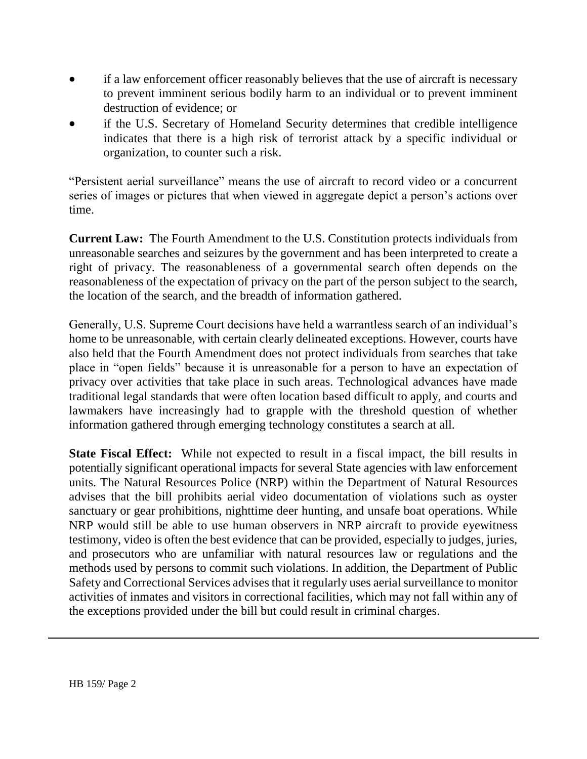- if a law enforcement officer reasonably believes that the use of aircraft is necessary to prevent imminent serious bodily harm to an individual or to prevent imminent destruction of evidence; or
- if the U.S. Secretary of Homeland Security determines that credible intelligence indicates that there is a high risk of terrorist attack by a specific individual or organization, to counter such a risk.

"Persistent aerial surveillance" means the use of aircraft to record video or a concurrent series of images or pictures that when viewed in aggregate depict a person's actions over time.

**Current Law:** The Fourth Amendment to the U.S. Constitution protects individuals from unreasonable searches and seizures by the government and has been interpreted to create a right of privacy. The reasonableness of a governmental search often depends on the reasonableness of the expectation of privacy on the part of the person subject to the search, the location of the search, and the breadth of information gathered.

Generally, U.S. Supreme Court decisions have held a warrantless search of an individual's home to be unreasonable, with certain clearly delineated exceptions. However, courts have also held that the Fourth Amendment does not protect individuals from searches that take place in "open fields" because it is unreasonable for a person to have an expectation of privacy over activities that take place in such areas. Technological advances have made traditional legal standards that were often location based difficult to apply, and courts and lawmakers have increasingly had to grapple with the threshold question of whether information gathered through emerging technology constitutes a search at all.

**State Fiscal Effect:** While not expected to result in a fiscal impact, the bill results in potentially significant operational impacts for several State agencies with law enforcement units. The Natural Resources Police (NRP) within the Department of Natural Resources advises that the bill prohibits aerial video documentation of violations such as oyster sanctuary or gear prohibitions, nighttime deer hunting, and unsafe boat operations. While NRP would still be able to use human observers in NRP aircraft to provide eyewitness testimony, video is often the best evidence that can be provided, especially to judges, juries, and prosecutors who are unfamiliar with natural resources law or regulations and the methods used by persons to commit such violations. In addition, the Department of Public Safety and Correctional Services advises that it regularly uses aerial surveillance to monitor activities of inmates and visitors in correctional facilities, which may not fall within any of the exceptions provided under the bill but could result in criminal charges.